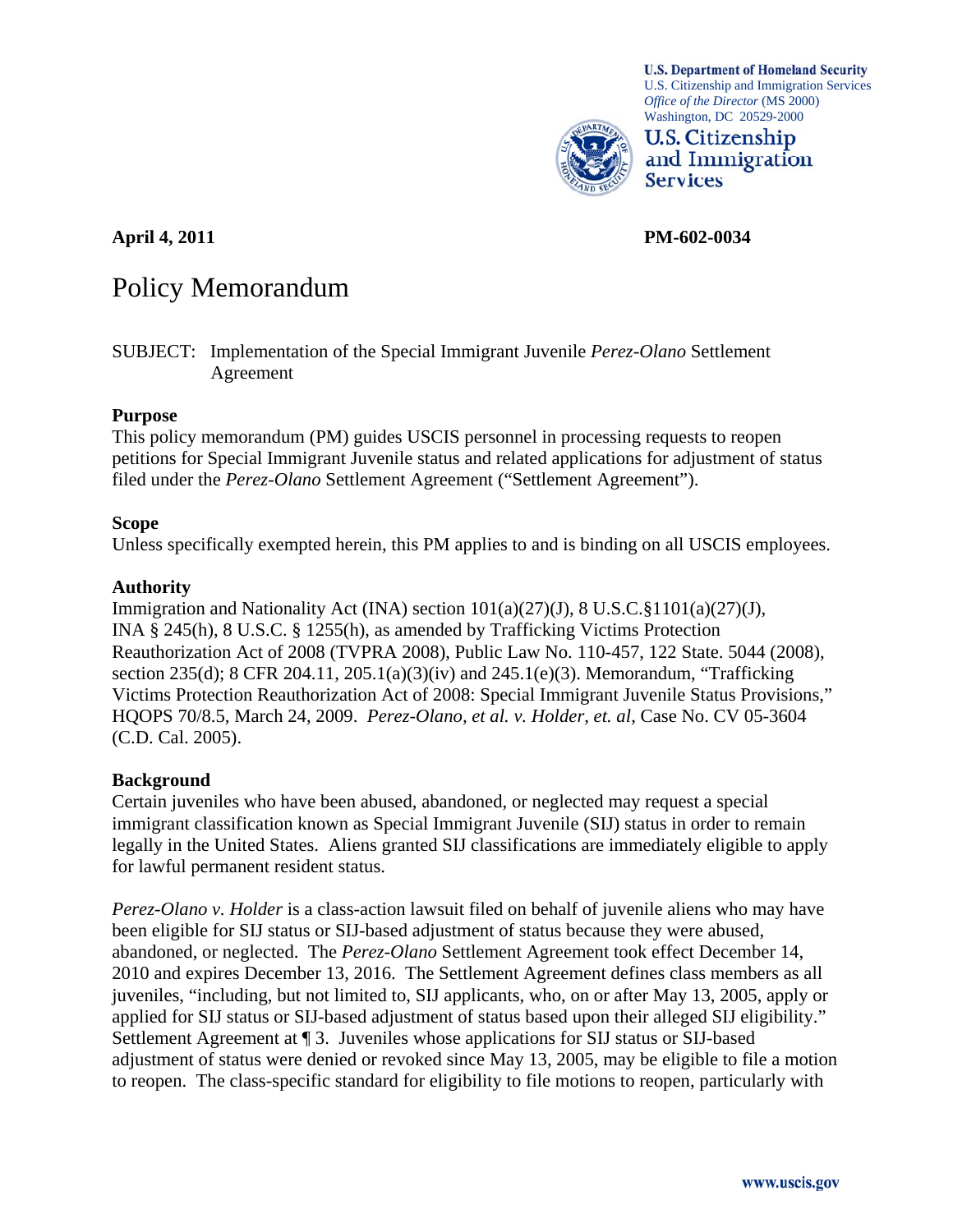

**U.S. Department of Homeland Security** U.S. Citizenship and Immigration Services *Office of the Director* (MS 2000) Washington, DC 20529-2000



**April 4, 2011 PM-602-0034** 

# Policy Memorandum

SUBJECT: Implementation of the Special Immigrant Juvenile *Perez-Olano* Settlement Agreement

# **Purpose**

This policy memorandum (PM) guides USCIS personnel in processing requests to reopen petitions for Special Immigrant Juvenile status and related applications for adjustment of status filed under the *Perez-Olano* Settlement Agreement ("Settlement Agreement").

# **Scope**

Unless specifically exempted herein, this PM applies to and is binding on all USCIS employees.

# **Authority**

Immigration and Nationality Act (INA) section  $101(a)(27)(J)$ , 8 U.S.C.§1101(a)(27)(J), INA § 245(h), 8 U.S.C. § 1255(h), as amended by Trafficking Victims Protection Reauthorization Act of 2008 (TVPRA 2008), Public Law No. 110-457, 122 State. 5044 (2008), section 235(d); 8 CFR 204.11, 205.1(a)(3)(iv) and 245.1(e)(3). Memorandum, "Trafficking Victims Protection Reauthorization Act of 2008: Special Immigrant Juvenile Status Provisions," HQOPS 70/8.5, March 24, 2009. *Perez-Olano, et al. v. Holder, et. al*, Case No. CV 05-3604 (C.D. Cal. 2005).

# **Background**

Certain juveniles who have been abused, abandoned, or neglected may request a special immigrant classification known as Special Immigrant Juvenile (SIJ) status in order to remain legally in the United States. Aliens granted SIJ classifications are immediately eligible to apply for lawful permanent resident status.

*Perez-Olano v. Holder* is a class-action lawsuit filed on behalf of juvenile aliens who may have been eligible for SIJ status or SIJ-based adjustment of status because they were abused, abandoned, or neglected. The *Perez-Olano* Settlement Agreement took effect December 14, 2010 and expires December 13, 2016. The Settlement Agreement defines class members as all juveniles, "including, but not limited to, SIJ applicants, who, on or after May 13, 2005, apply or applied for SIJ status or SIJ-based adjustment of status based upon their alleged SIJ eligibility." Settlement Agreement at ¶ 3. Juveniles whose applications for SIJ status or SIJ-based adjustment of status were denied or revoked since May 13, 2005, may be eligible to file a motion to reopen. The class-specific standard for eligibility to file motions to reopen, particularly with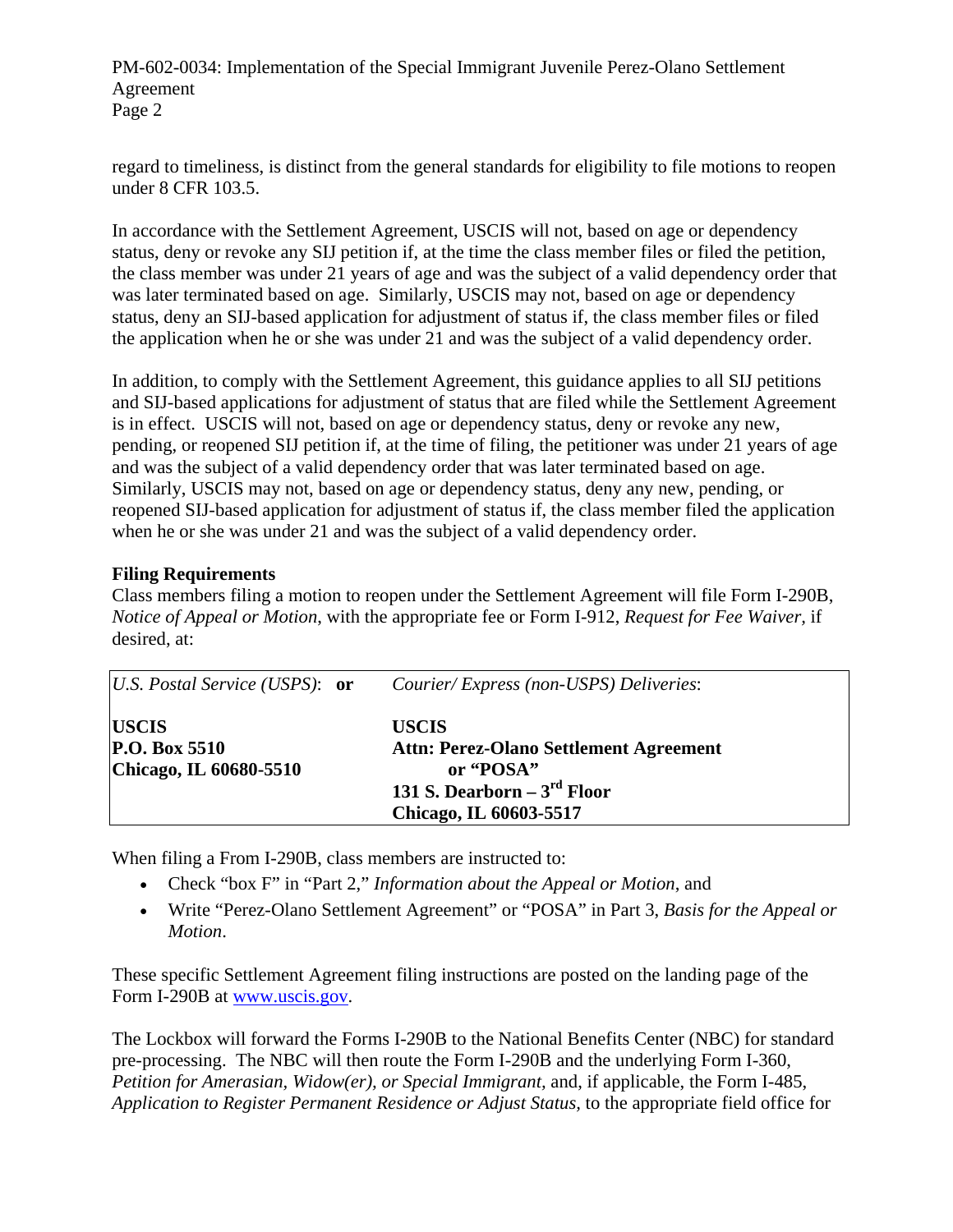regard to timeliness, is distinct from the general standards for eligibility to file motions to reopen under 8 CFR 103.5.

In accordance with the Settlement Agreement, USCIS will not, based on age or dependency status, deny or revoke any SIJ petition if, at the time the class member files or filed the petition, the class member was under 21 years of age and was the subject of a valid dependency order that was later terminated based on age. Similarly, USCIS may not, based on age or dependency status, deny an SIJ-based application for adjustment of status if, the class member files or filed the application when he or she was under 21 and was the subject of a valid dependency order.

In addition, to comply with the Settlement Agreement, this guidance applies to all SIJ petitions and SIJ-based applications for adjustment of status that are filed while the Settlement Agreement is in effect. USCIS will not, based on age or dependency status, deny or revoke any new, pending, or reopened SIJ petition if, at the time of filing, the petitioner was under 21 years of age and was the subject of a valid dependency order that was later terminated based on age. Similarly, USCIS may not, based on age or dependency status, deny any new, pending, or reopened SIJ-based application for adjustment of status if, the class member filed the application when he or she was under 21 and was the subject of a valid dependency order.

# **Filing Requirements**

Class members filing a motion to reopen under the Settlement Agreement will file Form I-290B, *Notice of Appeal or Motion*, with the appropriate fee or Form I-912, *Request for Fee Waiver,* if desired, at:

| <i>U.S. Postal Service (USPS)</i> : or                             | Courier/Express (non-USPS) Deliveries:                                                                                           |
|--------------------------------------------------------------------|----------------------------------------------------------------------------------------------------------------------------------|
| <b>USCIS</b><br>$\mathbf{P.O.}$ Box 5510<br>Chicago, IL 60680-5510 | <b>USCIS</b><br>Attn: Perez-Olano Settlement Agreement<br>or "POSA"<br>131 S. Dearborn $-3^{rd}$ Floor<br>Chicago, IL 60603-5517 |

When filing a From I-290B, class members are instructed to:

- Check "box F" in "Part 2," *Information about the Appeal or Motion*, and
- Write "Perez-Olano Settlement Agreement" or "POSA" in Part 3, *Basis for the Appeal or Motion*.

These specific Settlement Agreement filing instructions are posted on the landing page of the Form I-290B at [www.uscis.gov.](http://www.uscis.gov/)

The Lockbox will forward the Forms I-290B to the National Benefits Center (NBC) for standard pre-processing. The NBC will then route the Form I-290B and the underlying Form I-360, *Petition for Amerasian, Widow(er), or Special Immigrant,* and, if applicable, the Form I-485, *Application to Register Permanent Residence or Adjust Status,* to the appropriate field office for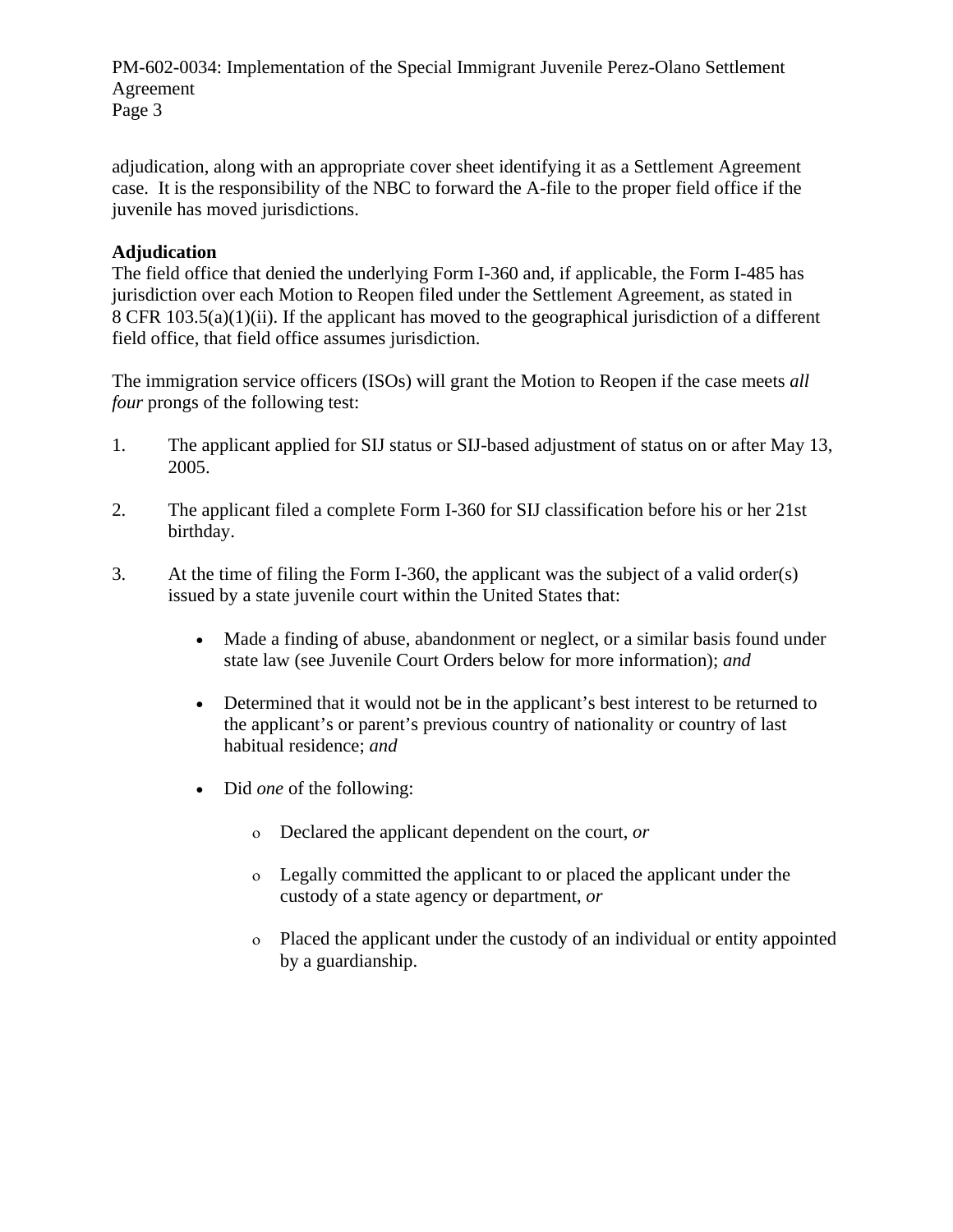adjudication, along with an appropriate cover sheet identifying it as a Settlement Agreement case. It is the responsibility of the NBC to forward the A-file to the proper field office if the juvenile has moved jurisdictions.

# **Adjudication**

The field office that denied the underlying Form I-360 and, if applicable, the Form I-485 has jurisdiction over each Motion to Reopen filed under the Settlement Agreement, as stated in 8 CFR 103.5(a)(1)(ii). If the applicant has moved to the geographical jurisdiction of a different field office, that field office assumes jurisdiction.

The immigration service officers (ISOs) will grant the Motion to Reopen if the case meets *all four* prongs of the following test:

- 1. The applicant applied for SIJ status or SIJ-based adjustment of status on or after May 13, 2005.
- 2. The applicant filed a complete Form I-360 for SIJ classification before his or her 21st birthday.
- 3. At the time of filing the Form I-360, the applicant was the subject of a valid order(s) issued by a state juvenile court within the United States that:
	- Made a finding of abuse, abandonment or neglect, or a similar basis found under state law (see Juvenile Court Orders below for more information); *and*
	- Determined that it would not be in the applicant's best interest to be returned to the applicant's or parent's previous country of nationality or country of last habitual residence; *and*
	- Did *one* of the following:
		- Declared the applicant dependent on the court, *or*
		- Legally committed the applicant to or placed the applicant under the custody of a state agency or department, *or*
		- Placed the applicant under the custody of an individual or entity appointed by a guardianship.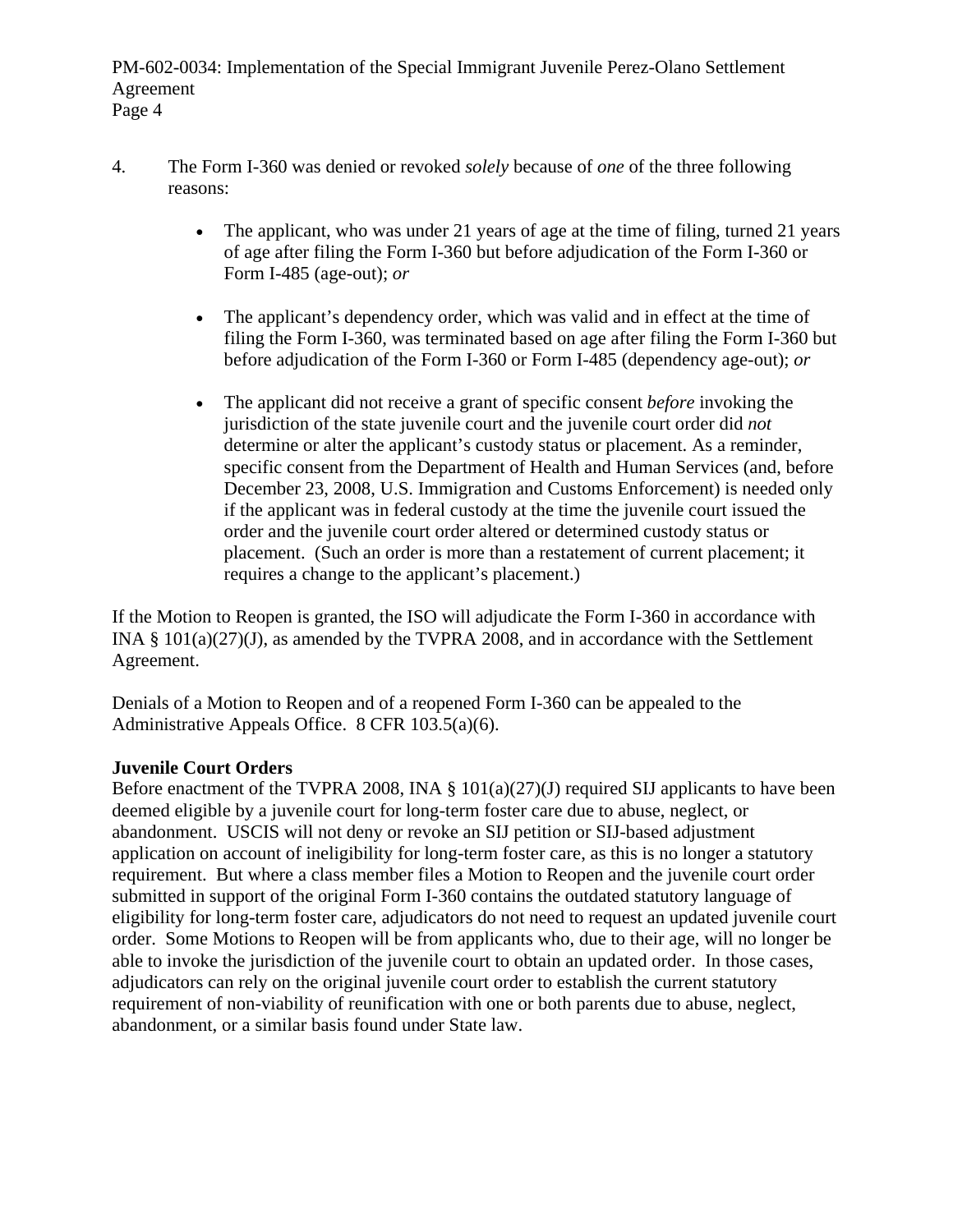- 4. The Form I-360 was denied or revoked *solely* because of *one* of the three following reasons:
	- The applicant, who was under 21 years of age at the time of filing, turned 21 years of age after filing the Form I-360 but before adjudication of the Form I-360 or Form I-485 (age-out); *or*
	- The applicant's dependency order, which was valid and in effect at the time of filing the Form I-360, was terminated based on age after filing the Form I-360 but before adjudication of the Form I-360 or Form I-485 (dependency age-out); *or*
	- The applicant did not receive a grant of specific consent *before* invoking the jurisdiction of the state juvenile court and the juvenile court order did *not* determine or alter the applicant's custody status or placement. As a reminder, specific consent from the Department of Health and Human Services (and, before December 23, 2008, U.S. Immigration and Customs Enforcement) is needed only if the applicant was in federal custody at the time the juvenile court issued the order and the juvenile court order altered or determined custody status or placement. (Such an order is more than a restatement of current placement; it requires a change to the applicant's placement.)

If the Motion to Reopen is granted, the ISO will adjudicate the Form I-360 in accordance with INA § 101(a)(27)(J), as amended by the TVPRA 2008, and in accordance with the Settlement Agreement.

Denials of a Motion to Reopen and of a reopened Form I-360 can be appealed to the Administrative Appeals Office. 8 CFR 103.5(a)(6).

# **Juvenile Court Orders**

Before enactment of the TVPRA 2008, INA  $\S$  101(a)(27)(J) required SIJ applicants to have been deemed eligible by a juvenile court for long-term foster care due to abuse, neglect, or abandonment. USCIS will not deny or revoke an SIJ petition or SIJ-based adjustment application on account of ineligibility for long-term foster care, as this is no longer a statutory requirement. But where a class member files a Motion to Reopen and the juvenile court order submitted in support of the original Form I-360 contains the outdated statutory language of eligibility for long-term foster care, adjudicators do not need to request an updated juvenile court order. Some Motions to Reopen will be from applicants who, due to their age, will no longer be able to invoke the jurisdiction of the juvenile court to obtain an updated order. In those cases, adjudicators can rely on the original juvenile court order to establish the current statutory requirement of non-viability of reunification with one or both parents due to abuse, neglect, abandonment, or a similar basis found under State law.